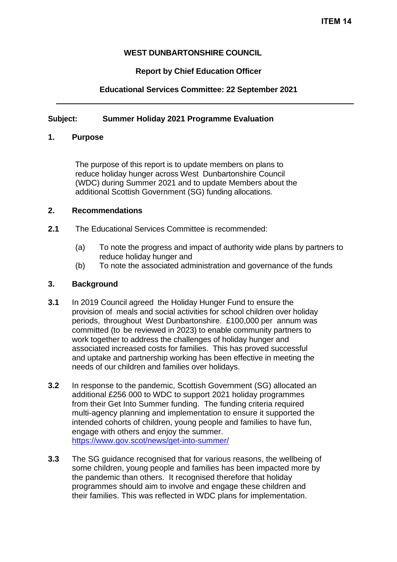# **WEST DUNBARTONSHIRE COUNCIL**

# **Report by Chief Education Officer**

# **Educational Services Committee: 22 September 2021**

# **Subject: Summer Holiday 2021 Programme Evaluation**

## **1. Purpose**

The purpose of this report is to update members on plans to reduce holiday hunger across West Dunbartonshire Council (WDC) during Summer 2021 and to update Members about the additional Scottish Government (SG) funding allocations.

### **2. Recommendations**

- **2.1** The Educational Services Committee is recommended:
	- (a) To note the progress and impact of authority wide plans by partners to reduce holiday hunger and
	- (b) To note the associated administration and governance of the funds

### **3. Background**

- **3.1** In 2019 Council agreed the Holiday Hunger Fund to ensure the provision of meals and social activities for school children over holiday periods, throughout West Dunbartonshire. £100,000 per annum was committed (to be reviewed in 2023) to enable community partners to work together to address the challenges of holiday hunger and associated increased costs for families. This has proved successful and uptake and partnership working has been effective in meeting the needs of our children and families over holidays.
- **3.2** In response to the pandemic, Scottish Government (SG) allocated an additional £256 000 to WDC to support 2021 holiday programmes from their Get Into Summer funding. The funding criteria required multi-agency planning and implementation to ensure it supported the intended cohorts of children, young people and families to have fun, engage with others and enjoy the summer. <https://www.gov.scot/news/get-into-summer/>
- **3.3** The SG guidance recognised that for various reasons, the wellbeing of some children, young people and families has been impacted more by the pandemic than others. It recognised therefore that holiday programmes should aim to involve and engage these children and their families. This was reflected in WDC plans for implementation.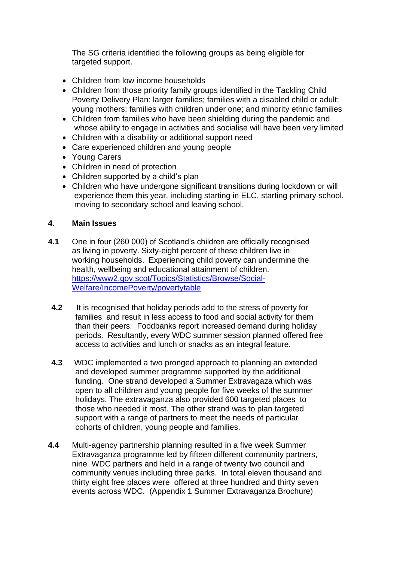The SG criteria identified the following groups as being eligible for targeted support.

- Children from low income households
- Children from those priority family groups identified in the Tackling Child Poverty Delivery Plan: larger families; families with a disabled child or adult; young mothers; families with children under one; and minority ethnic families
- Children from families who have been shielding during the pandemic and whose ability to engage in activities and socialise will have been very limited
- Children with a disability or additional support need
- Care experienced children and young people
- Young Carers
- Children in need of protection
- Children supported by a child's plan
- Children who have undergone significant transitions during lockdown or will experience them this year, including starting in ELC, starting primary school, moving to secondary school and leaving school.

## **4. Main Issues**

- **4.1** One in four (260 000) of Scotland's children are officially recognised as living in poverty. Sixty-eight percent of these children live in working households. Experiencing child poverty can undermine the health, wellbeing and educational attainment of children. [https://www2.gov.scot/Topics/Statistics/Browse/Social-](https://www2.gov.scot/Topics/Statistics/Browse/Social-Welfare/IncomePoverty/povertytable)[Welfare/IncomePoverty/povertytable](https://www2.gov.scot/Topics/Statistics/Browse/Social-Welfare/IncomePoverty/povertytable)
- **4.2** It is recognised that holiday periods add to the stress of poverty for families and result in less access to food and social activity for them than their peers. Foodbanks report increased demand during holiday periods. Resultantly, every WDC summer session planned offered free access to activities and lunch or snacks as an integral feature.
- **4.3** WDC implemented a two pronged approach to planning an extended and developed summer programme supported by the additional funding. One strand developed a Summer Extravagaza which was open to all children and young people for five weeks of the summer holidays. The extravaganza also provided 600 targeted places to those who needed it most. The other strand was to plan targeted support with a range of partners to meet the needs of particular cohorts of children, young people and families.
- **4.4** Multi-agency partnership planning resulted in a five week Summer Extravaganza programme led by fifteen different community partners, nine WDC partners and held in a range of twenty two council and community venues including three parks. In total eleven thousand and thirty eight free places were offered at three hundred and thirty seven events across WDC. (Appendix 1 Summer Extravaganza Brochure)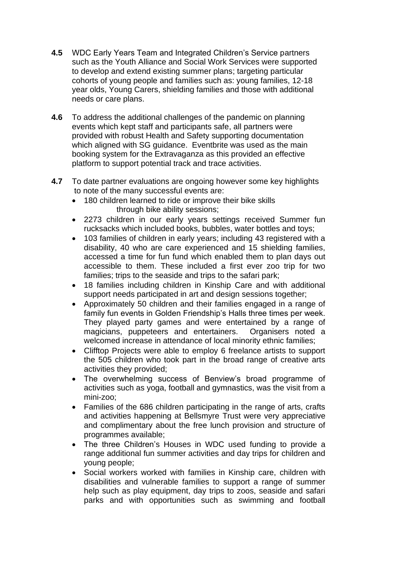- **4.5** WDC Early Years Team and Integrated Children's Service partners such as the Youth Alliance and Social Work Services were supported to develop and extend existing summer plans; targeting particular cohorts of young people and families such as: young families, 12-18 year olds, Young Carers, shielding families and those with additional needs or care plans.
- **4.6** To address the additional challenges of the pandemic on planning events which kept staff and participants safe, all partners were provided with robust Health and Safety supporting documentation which aligned with SG guidance. Eventbrite was used as the main booking system for the Extravaganza as this provided an effective platform to support potential track and trace activities.
- **4.7** To date partner evaluations are ongoing however some key highlights to note of the many successful events are:
	- 180 children learned to ride or improve their bike skills through bike ability sessions;
	- 2273 children in our early years settings received Summer fun rucksacks which included books, bubbles, water bottles and toys;
	- 103 families of children in early years; including 43 registered with a disability, 40 who are care experienced and 15 shielding families, accessed a time for fun fund which enabled them to plan days out accessible to them. These included a first ever zoo trip for two families; trips to the seaside and trips to the safari park;
	- 18 families including children in Kinship Care and with additional support needs participated in art and design sessions together;
	- Approximately 50 children and their families engaged in a range of family fun events in Golden Friendship's Halls three times per week. They played party games and were entertained by a range of magicians, puppeteers and entertainers. Organisers noted a welcomed increase in attendance of local minority ethnic families;
	- Clifftop Projects were able to employ 6 freelance artists to support the 505 children who took part in the broad range of creative arts activities they provided;
	- The overwhelming success of Benview's broad programme of activities such as yoga, football and gymnastics, was the visit from a mini-zoo;
	- Families of the 686 children participating in the range of arts, crafts and activities happening at Bellsmyre Trust were very appreciative and complimentary about the free lunch provision and structure of programmes available;
	- The three Children's Houses in WDC used funding to provide a range additional fun summer activities and day trips for children and young people;
	- Social workers worked with families in Kinship care, children with disabilities and vulnerable families to support a range of summer help such as play equipment, day trips to zoos, seaside and safari parks and with opportunities such as swimming and football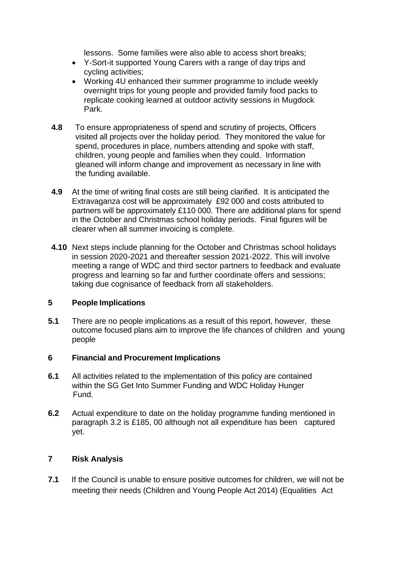lessons. Some families were also able to access short breaks;

- Y-Sort-it supported Young Carers with a range of day trips and cycling activities;
- Working 4U enhanced their summer programme to include weekly overnight trips for young people and provided family food packs to replicate cooking learned at outdoor activity sessions in Mugdock Park.
- **4.8** To ensure appropriateness of spend and scrutiny of projects, Officers visited all projects over the holiday period. They monitored the value for spend, procedures in place, numbers attending and spoke with staff, children, young people and families when they could. Information gleaned will inform change and improvement as necessary in line with the funding available.
- **4.9** At the time of writing final costs are still being clarified. It is anticipated the Extravaganza cost will be approximately £92 000 and costs attributed to partners will be approximately £110 000. There are additional plans for spend in the October and Christmas school holiday periods. Final figures will be clearer when all summer invoicing is complete.
- **4.10** Next steps include planning for the October and Christmas school holidays in session 2020-2021 and thereafter session 2021-2022. This will involve meeting a range of WDC and third sector partners to feedback and evaluate progress and learning so far and further coordinate offers and sessions; taking due cognisance of feedback from all stakeholders.

## **5 People Implications**

**5.1** There are no people implications as a result of this report, however, these outcome focused plans aim to improve the life chances of children and young people

## **6 Financial and Procurement Implications**

- **6.1** All activities related to the implementation of this policy are contained within the SG Get Into Summer Funding and WDC Holiday Hunger Fund.
- **6.2** Actual expenditure to date on the holiday programme funding mentioned in paragraph 3.2 is £185, 00 although not all expenditure has been captured yet.

# **7 Risk Analysis**

**7.1** If the Council is unable to ensure positive outcomes for children, we will not be meeting their needs (Children and Young People Act 2014) (Equalities Act